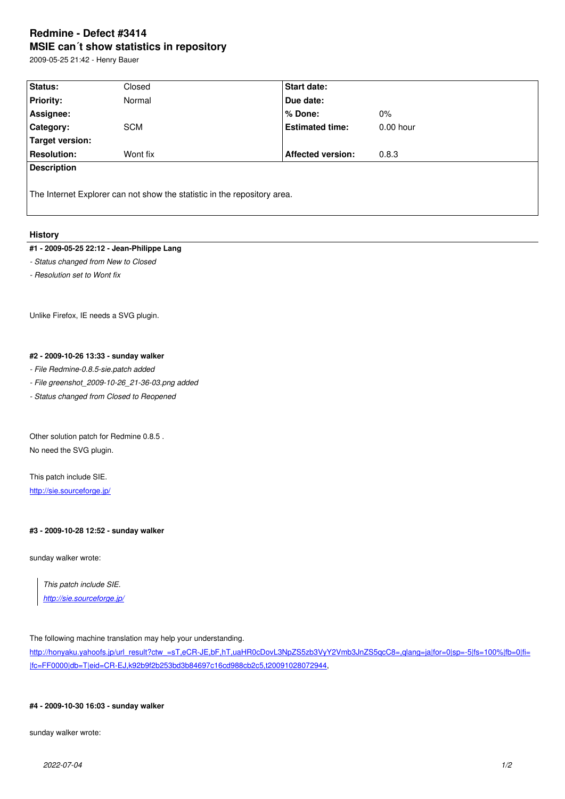#### **MSIE can´t show statistics in repository**

2009-05-25 21:42 - Henry Bauer

| Status:            | Closed                                                                   | <b>Start date:</b>       |             |
|--------------------|--------------------------------------------------------------------------|--------------------------|-------------|
| <b>Priority:</b>   | Normal                                                                   | Due date:                |             |
| Assignee:          |                                                                          | % Done:                  | $0\%$       |
| Category:          | <b>SCM</b>                                                               | <b>Estimated time:</b>   | $0.00$ hour |
| Target version:    |                                                                          |                          |             |
| <b>Resolution:</b> | Wont fix                                                                 | <b>Affected version:</b> | 0.8.3       |
| <b>Description</b> |                                                                          |                          |             |
|                    |                                                                          |                          |             |
|                    | The Internet Explorer can not show the statistic in the repository area. |                          |             |

## **History**

# **#1 - 2009-05-25 22:12 - Jean-Philippe Lang**

*- Status changed from New to Closed*

*- Resolution set to Wont fix*

Unlike Firefox, IE needs a SVG plugin.

## **#2 - 2009-10-26 13:33 - sunday walker**

## *- File Redmine-0.8.5-sie.patch added*

*- File greenshot\_2009-10-26\_21-36-03.png added*

*- Status changed from Closed to Reopened*

Other solution patch for Redmine 0.8.5 . No need the SVG plugin.

This patch include SIE. http://sie.sourceforge.jp/

#### **[#3 - 2009-10-28 12:52 -](http://sie.sourceforge.jp/) sunday walker**

sunday walker wrote:

*This patch include SIE. http://sie.sourceforge.jp/*

The [following machine transl](http://sie.sourceforge.jp/)ation may help your understanding.

http://honyaku.yahoofs.jp/url\_result?ctw\_=sT,eCR-JE,bF,hT,uaHR0cDovL3NpZS5zb3VyY2Vmb3JnZS5qcC8=,qlang=ja|for=0|sp=-5|fs=100%|fb=0|fi= |fc=FF0000|db=T|eid=CR-EJ,k92b9f2b253bd3b84697c16cd988cb2c5,t20091028072944,

## **[#4 - 2009-10-30 16:03 - sunday walker](http://honyaku.yahoofs.jp/url_result?ctw_=sT,eCR-JE,bF,hT,uaHR0cDovL3NpZS5zb3VyY2Vmb3JnZS5qcC8=,qlang=ja|for=0|sp=-5|fs=100%|fb=0|fi=0|fc=FF0000|db=T|eid=CR-EJ,k92b9f2b253bd3b84697c16cd988cb2c5,t20091028072944)**

sunday walker wrote: